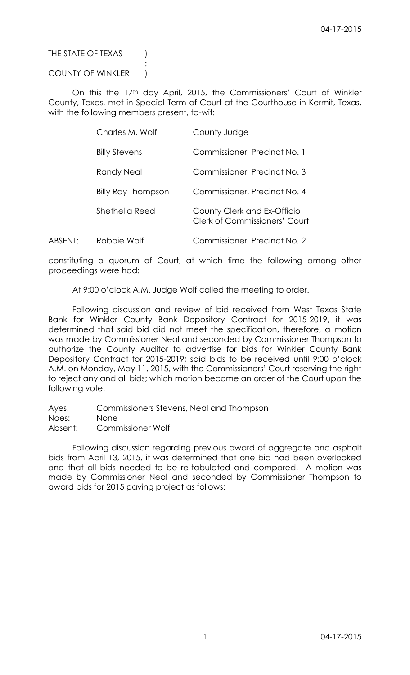# THE STATE OF TEXAS (

### COUNTY OF WINKLER )

:

On this the 17<sup>th</sup> day April, 2015, the Commissioners' Court of Winkler County, Texas, met in Special Term of Court at the Courthouse in Kermit, Texas, with the following members present, to-wit:

|         | Charles M. Wolf      | County Judge                                                        |
|---------|----------------------|---------------------------------------------------------------------|
|         | <b>Billy Stevens</b> | Commissioner, Precinct No. 1                                        |
|         | Randy Neal           | Commissioner, Precinct No. 3                                        |
|         | Billy Ray Thompson   | Commissioner, Precinct No. 4                                        |
|         | Shethelia Reed       | County Clerk and Ex-Officio<br><b>Clerk of Commissioners' Court</b> |
| ABSENT: | Robbie Wolf          | Commissioner, Precinct No. 2                                        |

constituting a quorum of Court, at which time the following among other

proceedings were had:

At 9:00 o'clock A.M. Judge Wolf called the meeting to order.

Following discussion and review of bid received from West Texas State Bank for Winkler County Bank Depository Contract for 2015-2019, it was determined that said bid did not meet the specification, therefore, a motion was made by Commissioner Neal and seconded by Commissioner Thompson to authorize the County Auditor to advertise for bids for Winkler County Bank Depository Contract for 2015-2019; said bids to be received until 9:00 o'clock A.M. on Monday, May 11, 2015, with the Commissioners' Court reserving the right to reject any and all bids; which motion became an order of the Court upon the following vote:

Ayes: Commissioners Stevens, Neal and Thompson

Noes: None

Absent: Commissioner Wolf

Following discussion regarding previous award of aggregate and asphalt bids from April 13, 2015, it was determined that one bid had been overlooked and that all bids needed to be re-tabulated and compared. A motion was made by Commissioner Neal and seconded by Commissioner Thompson to award bids for 2015 paving project as follows: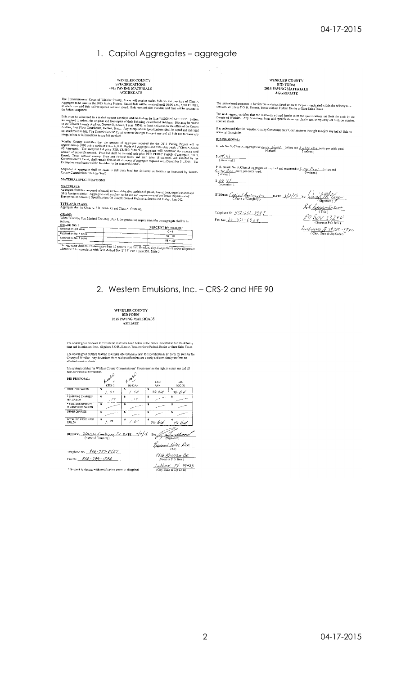## 1. Capitol Aggregates - aggregate

# WINKLER COUNTY<br>SPECIFICATIONS<br>2015 PAVING MATERIALS<br>AGGREGATE

The Commissioners' Court of Winkler County, Texas will receive sealed bids for the purchase of Class A Ageregate to be used in the 2015 Paving Project. Sealed bids will be received until 10:00 a.m., April 13, 2015, at whic

Bids must be submitted in a sealed, opaque envelope and marked on the face "AGGREGATE BID". Biddes<br>are required to solmit the original end five copies of their bid using the enclosed bid form. Bids may be mailed<br>to the Win

Winder County estimates to any our receiver<br>Winder County estimates to any our receiver of aggregate required for the 2015 Paving Project will be<br>proximately 5000 cubic yards of Class A, P.B. Grade # 5 Aggregate and 250 c

Shipment of aggregate shall be made in full truck lead lots delivered on location as instructed by Winkler<br>County Commissioner Robbie Wolf.

MATERIAL SPECIFICATIONS

 $\mathcal{L}^{(1,2)}_{\text{max}}$ 

MATERIALS:<br>Aggregate shall be composed of sound, clean and durable particles of gravel, free of dust, organic matter and<br>other foreign material Aggregate shall conform to the test and requirements of the Texas Department o

# TYPE AND CLASS:<br>Aggregate shall be Class A, P.B. Grade #5 and Class A, Grade #3.

GRADE: When Tested by Test Method Tex-200F, Part I, the graduati

| of the aggregate shall be as the cover of the separature of the aggregate shall be as<br>follows |                         |
|--------------------------------------------------------------------------------------------------|-------------------------|
| <b>GRADE NO. 5</b><br>Retained on 3/8 sieve                                                      | PERCENT BY WEIGHT       |
| Relained on No. 4 sieve                                                                          | $0 - 5$                 |
| Retained on No. 8 sieve                                                                          | $50 - 80$<br>$98 - 106$ |

|                                                                                                                                                                                                     | $30 - 100$ |
|-----------------------------------------------------------------------------------------------------------------------------------------------------------------------------------------------------|------------|
| te aggregate shall not comain more than 1.0 percent loss from fine dust, clay-like particles and/or silt present<br>hen tested in accordance with Test Method Tex-217 F. Part I, Item 302, Table 3, |            |

WINKLER COUNTY<br>BID FORM<br>2015 PAVING MATERIALS<br>AGGREGATE

The undersigned proposes to furnish the materials iisted below at the prices indicated within the delivery time<br>set forth, all prices F.O.B., Kermit, Texas without Federal Excise or State Sales Taxes. The undersigned certifies that the materials offered herein meet the specifications set forth for such by the<br>County of Winkler. Any deviations from said opecifications are clearly and complately set forth on attached

It is understood that the Winkler County Commissioners' Court reserves the right to reject any and all bids, to<br>waive all formalities.

**BID PROPOSAL:** 

Grade No. 3, Class A, aggregate at  $\frac{E_{CFT}E_{CFT}E_{T}}{(4\text{wittet})}$ , dollars and  $\frac{E_{CFT}E_{T}}{(4\text{wittet})}$  (written)  $\frac{\frac{1}{2} \frac{1}{2} \frac{1}{2} \frac{1}{2} \frac{1}{2}}{\frac{1}{2} \left(\frac{1}{2} \frac{1}{2} \frac{1}{2} \frac{1}{2} \frac{1}{2} \frac{1}{2} \frac{1}{2} \frac{1}{2} \frac{1}{2} \frac{1}{2} \frac{1}{2} \frac{1}{2} \frac{1}{2} \frac{1}{2} \frac{1}{2} \frac{1}{2} \frac{1}{2} \frac{1}{2} \frac{1}{2} \frac{1}{2} \frac{1}{2} \frac{1}{2} \frac{1}{2} \frac{1}{2} \frac{1}{2$ 

P. B. Grade No. 5, Class A aggregate as required and requested at  $\frac{\int_{\mathcal{F}} f(f) \int_{\mathcal{F}} f(x, y)}{\int_{\mathcal{F}} f(x, y)}$  conts per cubic yard.<br> $\frac{\int_{\mathcal{F}} f(f) \int_{\mathcal{F}} f(x, y)}{\int_{\mathcal{F}} f(x, y)}$  and  $\frac{1}{\int_{\mathcal{F}} f(x, y)}$  $\frac{S \cdot G \cdot G}{S \cdot G}$ 

BIDDER:  $\frac{C_{\rho}C_{\rho}C_{\rho}A_{\rho}C_{\rho}C_{\rho}A_{\rho}C_{\rho}}{Name of Company}$  DATE:  $3\frac{C_{\rho}C_{\rho}C_{\rho}}{S_{\rho}C_{\rho}C_{\rho}}$  by:  $\frac{C_{\rho}C_{\rho}C_{\rho}C_{\rho}C_{\rho}}{S_{\rho}C_{\rho}C_{\rho}C_{\rho}C_{\rho}}$ 

Telephone No:  $\frac{1}{2}$  /  $\frac{1}{2}$  /  $\frac{1}{2}$  /  $\frac{1}{2}$  /  $\frac{1}{2}$  /  $\frac{1}{2}$ Fax No:  $\frac{1}{2}$  10 - 8 71 - 6 9 2 9

Jok hopesmentation  $\frac{\text{Lone}}{\text{C}}$ *Jan Griens I 18,265 - 3740*<br>City, State & Zip Code)

# 2. Western Emulsions, Inc. - CRS-2 and HFE 90

| WINKLER COUNTY        |
|-----------------------|
| BID FORM              |
| 2015 PAVING MATERIALS |
| ASPHALT               |

The undersigned proposes to furnish the materials listed below at the prices indicated within the delivery<br>time and location set forth, all prices F.O.B., Kermit, Texas without Federal Excise or State Sales Taxes. The undersigned certifies that the materials offered herein meet the specifications set forth for such by the<br>County of Winkler. Any deviations from said specifications are clearly and completely set forth on<br>attached shee

| It is understood that the Winkler County Commissioners' Court reserves the right to reject any and all<br>bids, to waive all formalities. |                      |                             |             |               |
|-------------------------------------------------------------------------------------------------------------------------------------------|----------------------|-----------------------------|-------------|---------------|
| <b>BID PROPOSAL:</b>                                                                                                                      | Accenters<br>$CRS-2$ | غميتهم مدا<br><b>HFE 90</b> | TAC<br>AEP  | TAC.<br>MC-30 |
| PRICE PER GALLON                                                                                                                          | 1.01                 | 1. so                       | No But      | no Bid        |
| * SHIPPING CHARGES/<br>PER GALLON                                                                                                         | ¢.<br>. 17           | \$<br>.17                   | s           |               |
| * FUEL ADJUSTMENT/<br>CHARGES PER GALLON                                                                                                  | ≤                    |                             | \$          | \$            |
| OTHER CHARGES                                                                                                                             |                      |                             | s           | \$            |
| TOTAL BID PRICE / PER<br>CALLON                                                                                                           | \$<br>18             | ÷<br>$\cdot$ v $\tau$       | s<br>no Bid | \$<br>no Bid  |

BIDDER: *Nestern Emelsions In* DATE:  $4/7/15$  By: **For Montgott Planet** 

Telephone No: 806-787-0357 Fax No:  $806 - 799 - 1896$ 

| $V \neq$ (Signature)                          |
|-----------------------------------------------|
| Regional Sales Dik. _                         |
| 8516 <u>Kenosha De.</u><br>Steet of P.O. Box) |

\* Subject to change with notification prior to shipping!

| (Street or P.O. Box.)    |  |  |  |
|--------------------------|--|--|--|
| Lubbock, Tx. 19423       |  |  |  |
| (City, State & Zip Code) |  |  |  |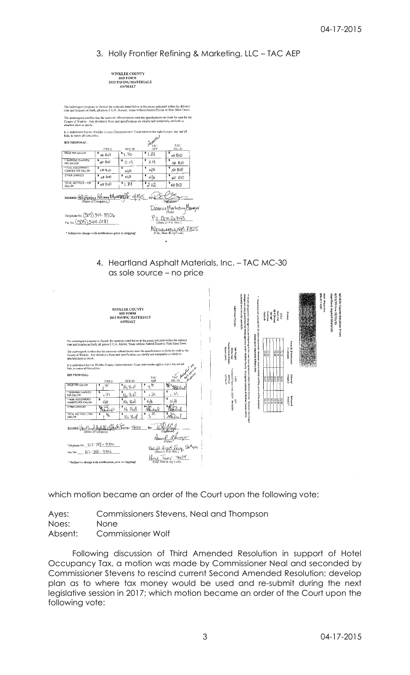# 3. Holly Frontier Refining & Marketing, LLC – TAC AEP

| WINKLER COUNTY        |
|-----------------------|
| <b>BID FORM</b>       |
| 2015 PAVING MATERIALS |
| ASPHALT               |

The undersigned proposes to furnish the materials listed below at the prices indicated withm the delivery<br>time and location set forth, all prices F.O.B., Kermit, Texas without Federal Excise or State Sales Taxes. the and totatom set totat, an prices crossis, realing results atomic colour excess of one consistents.<br>The undersigned certifies that the materials offered herein meet the specifications set forth for such by the<br>County of  $\mathbb{R}$ .<br>on the zight t

| it is imderstood that the Winkler County Commissioners' Court reserves the right to reject any and an<br>bids, to waive all formalities. |                         |                                        | Acentural  |              |
|------------------------------------------------------------------------------------------------------------------------------------------|-------------------------|----------------------------------------|------------|--------------|
| <b>BJD PROPOSAL:</b>                                                                                                                     |                         |                                        |            | TAC          |
|                                                                                                                                          | $CRS-2$                 | HFE 90                                 | AEP        | MC-30        |
| PRICE PER GALLON                                                                                                                         | NO BID                  | 51.70                                  | $*1.88$    | \$<br>ND BID |
| * SHIPPING CHARGES/<br>PER GALLON                                                                                                        | $*_{\mu 0 \text{ B4D}}$ | \$<br>0.14                             | \$<br>0.14 | s<br>NO BID  |
| * FUEL ADJUSTMENT/<br>CHARGES PER GALLON                                                                                                 | <b>ND BID</b>           | \$<br>NA                               | \$<br>NΙA  | NO BID       |
| OTHER CHARGES                                                                                                                            | <b>ND 810</b>           | $*$ N/A                                | \$<br>ΝA   | s<br>NO BID  |
| TOTAL BID PRICE / PER<br><b>GALLON</b>                                                                                                   | きんのいき                   | \$1.84                                 | 3.02       | ŝ<br>NO BID  |
|                                                                                                                                          |                         |                                        |            |              |
| BIDDER: HUNTERLY RETING & Market Barrel 48/15                                                                                            |                         |                                        |            | (Signature)  |
| District Marketing Manager                                                                                                               |                         |                                        |            |              |
| Telephone No. (505) 344-3526                                                                                                             |                         |                                        |            |              |
| Fax No. (505) 344-0181                                                                                                                   |                         | Po. BOX 26743<br>(Street or P.O. Box.) |            |              |
| Albuquerque NM 87125                                                                                                                     |                         |                                        |            |              |
| * Subject to change with notification prior to shipping!                                                                                 |                         |                                        |            |              |

4. Heartland Asphalt Materials, Inc. – TAC MC-30 as sole source – no price



which motion became an order of the Court upon the following vote:

Ayes: Commissioners Stevens, Neal and Thompson Noes: None

Absent: Commissioner Wolf

Following discussion of Third Amended Resolution in support of Hotel Occupancy Tax, a motion was made by Commissioner Neal and seconded by Commissioner Stevens to rescind current Second Amended Resolution; develop plan as to where tax money would be used and re-submit during the next legislative session in 2017; which motion became an order of the Court upon the following vote: